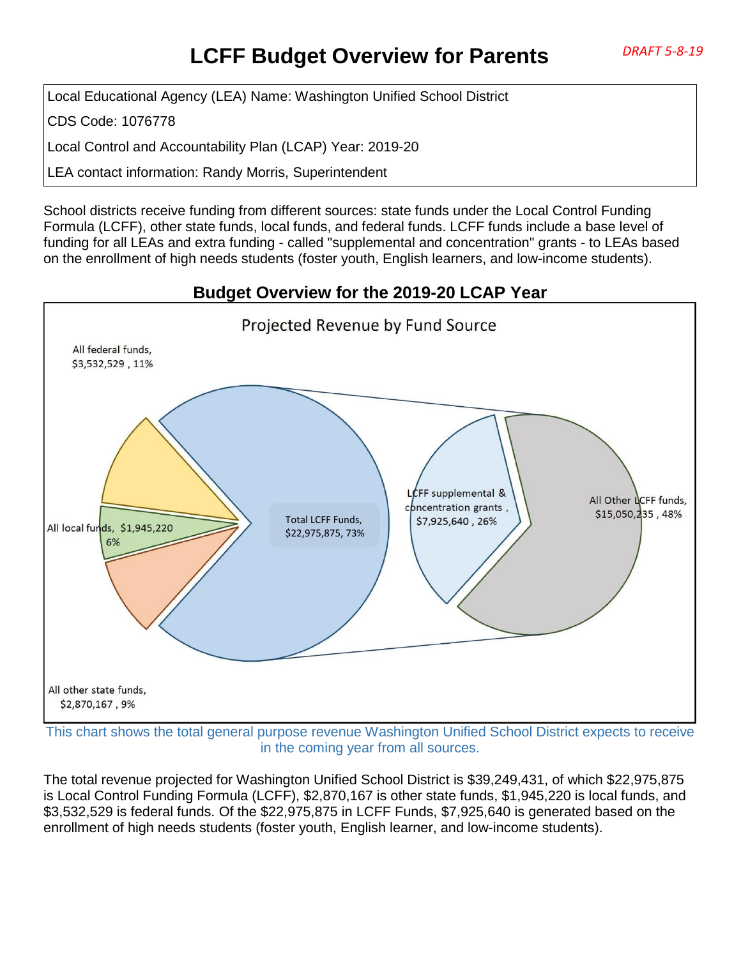# **LCFF Budget Overview for Parents** *DRAFT 5-8-19*

Local Educational Agency (LEA) Name: Washington Unified School District

CDS Code: 1076778

Local Control and Accountability Plan (LCAP) Year: 2019-20

LEA contact information: Randy Morris, Superintendent

School districts receive funding from different sources: state funds under the Local Control Funding Formula (LCFF), other state funds, local funds, and federal funds. LCFF funds include a base level of funding for all LEAs and extra funding - called "supplemental and concentration" grants - to LEAs based on the enrollment of high needs students (foster youth, English learners, and low-income students).

# Projected Revenue by Fund Source All federal funds, \$3,532,529,11% CFF supplemental & All Other LCFF funds, concentration grants, \$15,050,235,48% Total LCFF Funds, \$7,925,640, 26% All local funds, \$1,945,220 \$22,975,875, 73%6% All other state funds, \$2,870,167,9%

This chart shows the total general purpose revenue Washington Unified School District expects to receive in the coming year from all sources.

The total revenue projected for Washington Unified School District is \$39,249,431, of which \$22,975,875 is Local Control Funding Formula (LCFF), \$2,870,167 is other state funds, \$1,945,220 is local funds, and \$3,532,529 is federal funds. Of the \$22,975,875 in LCFF Funds, \$7,925,640 is generated based on the enrollment of high needs students (foster youth, English learner, and low-income students).

#### **Budget Overview for the 2019-20 LCAP Year**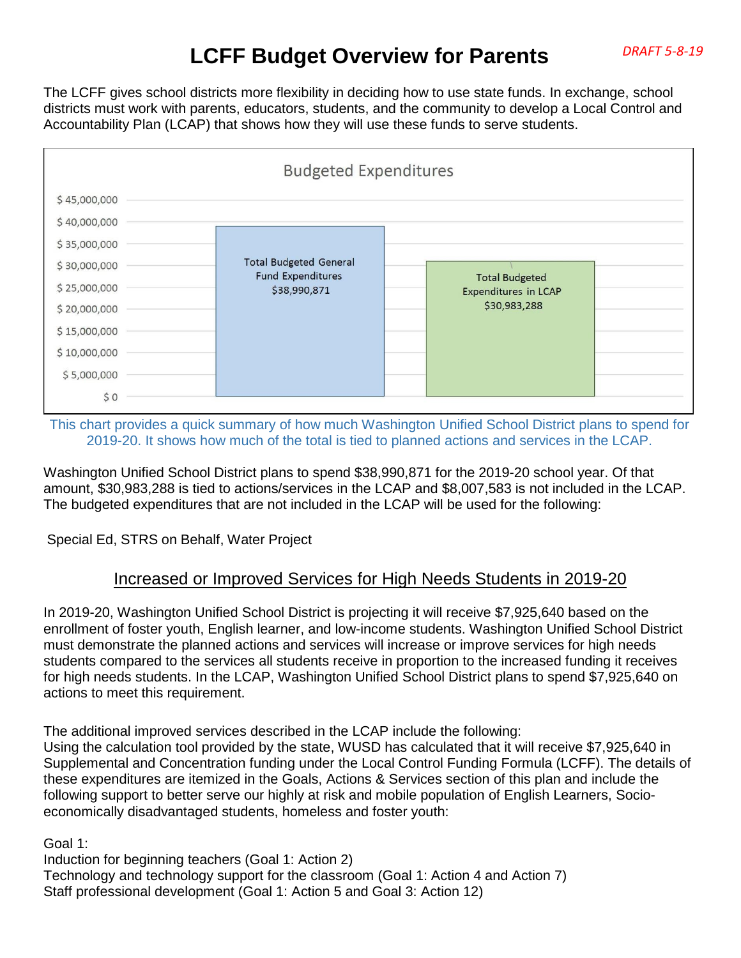# **LCFF Budget Overview for Parents** *DRAFT 5-8-19*

The LCFF gives school districts more flexibility in deciding how to use state funds. In exchange, school districts must work with parents, educators, students, and the community to develop a Local Control and Accountability Plan (LCAP) that shows how they will use these funds to serve students.



This chart provides a quick summary of how much Washington Unified School District plans to spend for 2019-20. It shows how much of the total is tied to planned actions and services in the LCAP.

Washington Unified School District plans to spend \$38,990,871 for the 2019-20 school year. Of that amount, \$30,983,288 is tied to actions/services in the LCAP and \$8,007,583 is not included in the LCAP. The budgeted expenditures that are not included in the LCAP will be used for the following:

Special Ed, STRS on Behalf, Water Project

#### Increased or Improved Services for High Needs Students in 2019-20

In 2019-20, Washington Unified School District is projecting it will receive \$7,925,640 based on the enrollment of foster youth, English learner, and low-income students. Washington Unified School District must demonstrate the planned actions and services will increase or improve services for high needs students compared to the services all students receive in proportion to the increased funding it receives for high needs students. In the LCAP, Washington Unified School District plans to spend \$7,925,640 on actions to meet this requirement.

The additional improved services described in the LCAP include the following: Using the calculation tool provided by the state, WUSD has calculated that it will receive \$7,925,640 in Supplemental and Concentration funding under the Local Control Funding Formula (LCFF). The details of these expenditures are itemized in the Goals, Actions & Services section of this plan and include the following support to better serve our highly at risk and mobile population of English Learners, Socioeconomically disadvantaged students, homeless and foster youth:

Goal 1:

Induction for beginning teachers (Goal 1: Action 2) Technology and technology support for the classroom (Goal 1: Action 4 and Action 7) Staff professional development (Goal 1: Action 5 and Goal 3: Action 12)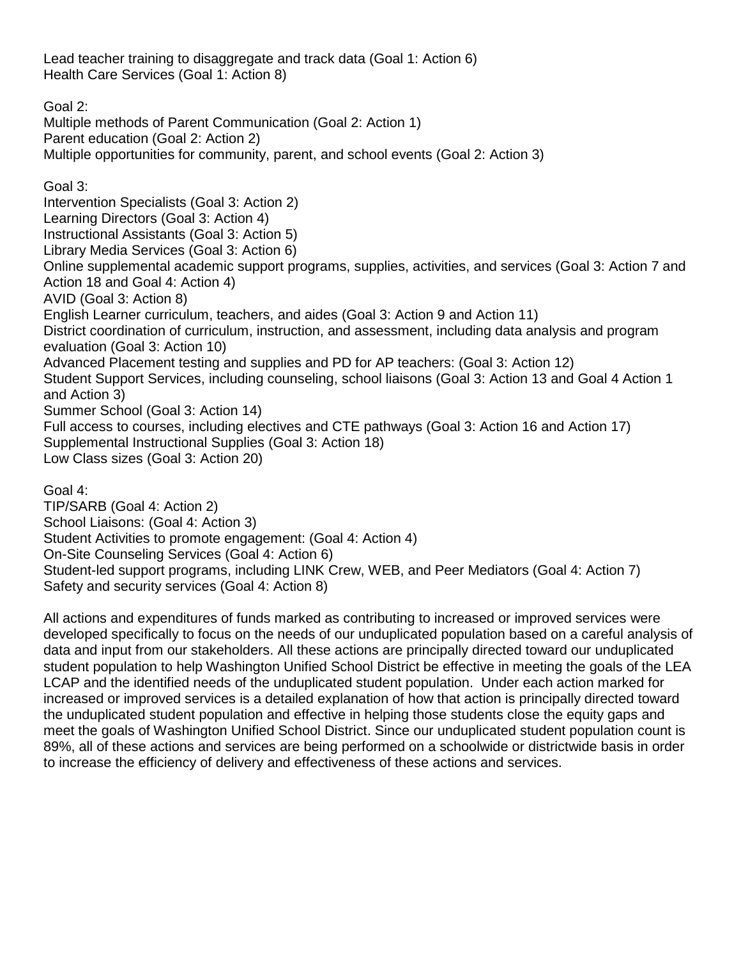Lead teacher training to disaggregate and track data (Goal 1: Action 6) Health Care Services (Goal 1: Action 8)

Goal 2: Multiple methods of Parent Communication (Goal 2: Action 1) Parent education (Goal 2: Action 2) Multiple opportunities for community, parent, and school events (Goal 2: Action 3)

Goal 3: Intervention Specialists (Goal 3: Action 2) Learning Directors (Goal 3: Action 4) Instructional Assistants (Goal 3: Action 5) Library Media Services (Goal 3: Action 6) Online supplemental academic support programs, supplies, activities, and services (Goal 3: Action 7 and Action 18 and Goal 4: Action 4) AVID (Goal 3: Action 8) English Learner curriculum, teachers, and aides (Goal 3: Action 9 and Action 11) District coordination of curriculum, instruction, and assessment, including data analysis and program evaluation (Goal 3: Action 10) Advanced Placement testing and supplies and PD for AP teachers: (Goal 3: Action 12) Student Support Services, including counseling, school liaisons (Goal 3: Action 13 and Goal 4 Action 1 and Action 3) Summer School (Goal 3: Action 14) Full access to courses, including electives and CTE pathways (Goal 3: Action 16 and Action 17) Supplemental Instructional Supplies (Goal 3: Action 18) Low Class sizes (Goal 3: Action 20)

Goal 4:

TIP/SARB (Goal 4: Action 2) School Liaisons: (Goal 4: Action 3) Student Activities to promote engagement: (Goal 4: Action 4) On-Site Counseling Services (Goal 4: Action 6) Student-led support programs, including LINK Crew, WEB, and Peer Mediators (Goal 4: Action 7) Safety and security services (Goal 4: Action 8)

All actions and expenditures of funds marked as contributing to increased or improved services were developed specifically to focus on the needs of our unduplicated population based on a careful analysis of data and input from our stakeholders. All these actions are principally directed toward our unduplicated student population to help Washington Unified School District be effective in meeting the goals of the LEA LCAP and the identified needs of the unduplicated student population. Under each action marked for increased or improved services is a detailed explanation of how that action is principally directed toward the unduplicated student population and effective in helping those students close the equity gaps and meet the goals of Washington Unified School District. Since our unduplicated student population count is 89%, all of these actions and services are being performed on a schoolwide or districtwide basis in order to increase the efficiency of delivery and effectiveness of these actions and services.